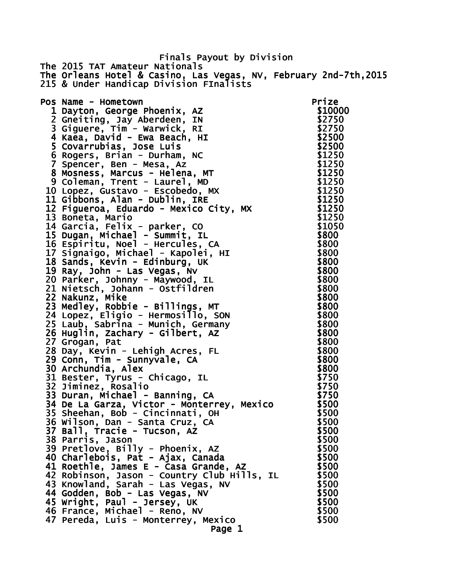Finals Payout by Division The 2015 TAT Amateur Nationals The Orleans Hotel & Casino, Las Vegas, NV, February 2nd-7th,2015 215 & Under Handicap Division FInalists Pos Name - Hometown **Prize** 1 Dayton, George Phoenix, AZ  $$10000$  2 Gneiting, Jay Aberdeen, IN \$2750 3 Giguere, Tim - Warwick, RI \$2750 4 Kaea, David - Ewa Beach, HI **\$2500**  5 Covarrubias, Jose Luis \$2500 6 Rogers, Brian - Durham, NC \$1250 7 Spencer, Ben - Mesa, Az 8 Mosness, Marcus - Helena, MT \$1250 9 Coleman, Trent - Laurel, MD \$1250 10 Lopez, Gustavo - Escobedo, MX \$1250 11 Gibbons, Alan - Dublin, IRE 12 Figueroa, Eduardo - Mexico City, MX \$1250 13 Boneta, Mario **\$1250**  14 Garcia, Felix - parker, CO \$1050 15 Dugan, Michael - Summit, IL \$800 16 Espiritu, Noel - Hercules, CA 6800 17 Signaigo, Michael - Kapolei, HI \$800 18 Sands, Kevin - Edinburg, UK<br>18 Sands, Kevin - Edinburg, UK 19 Ray, John - Las Vegas, Nv \$800 20 Parker, Johnny - Maywood, IL \$800 21 Nietsch, Johann - Ostfildren \$800 22 Nakunz, Mike \$800 23 Medley, Robbie - Billings, MT \$800 24 Lopez, Eligio - Hermosillo, SON \$800 25 Laub, Sabrina - Munich, Germany \$800 26 Huglin, Zachary - Gilbert, AZ \$800 27 Grogan, Pat **\$800**  28 Day, Kevin - Lehigh Acres, FL \$800 29 Conn, Tim - Sunnyvale, CA \$800 30 Archundia, Alex **\$800**  $\sim$ 31 Bester, Tyrus - Chicago, IL \$750 32 Jiminez, Rosalio \$750 33 Duran, Michael - Banning, CA \$750 34 De La Garza, Victor - Monterrey, Mexico \$500 35 Sheehan, Bob - Cincinnati, OH \$500 36 Wilson, Dan - Santa Cruz, CA 37 Ball, Tracie - Tucson, AZ  $$500$ 38 Parris, Jason \$500 39 Pretlove, Billy - Phoenix, AZ \$500 40 Charlebois, Pat - Ajax, Canada  $$500$ 41 Roethle, James E - Casa Grande,  $AZ$  \$500 42 Robinson, Jason - Country Club Hills, IL \$500 43 Knowland, Sarah - Las Vegas, NV \$500<br>44 Godden, Bob - Las Vegas, NV \$500 44 Godden, Bob - Las Vegas, NV<br>45 Wright. Paul - Jersey. UK \$500 45 Wright, Paul - Jersey, UK 46 France, Michael - Reno, NV  $$500$ 47 Pereda, Luis - Monterrey, Mexico (1986) 19500 Page 1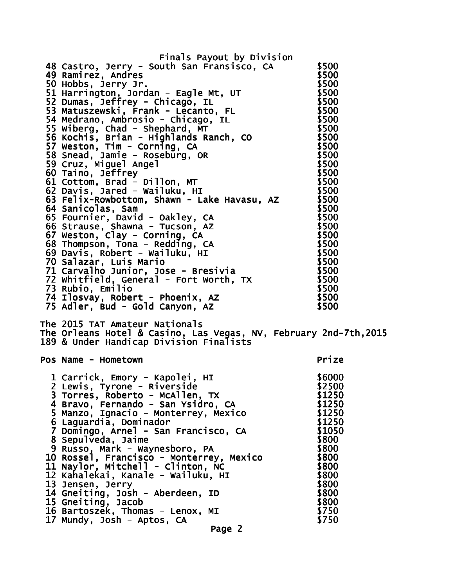| Finals Payout by Division                                                                                                                                                                                                                    |        |
|----------------------------------------------------------------------------------------------------------------------------------------------------------------------------------------------------------------------------------------------|--------|
| 48 Castro, Jerry - South San Fransisco, CA                                                                                                                                                                                                   | \$500  |
| 49 Ramirez, Andres                                                                                                                                                                                                                           | \$500  |
| 49 Raminez, Anares<br>50 Hobbs, Jerry Jr.<br>51 Harrington, Jordan - Eagle Mt, UT<br>52 Dumas, Jeffrey - Chicago, IL<br>52 Matuszewski, Frank - Lecanto, FL<br>54 Medrano, Ambrosio - Chicago, IL<br>5500<br>54 Medrano, Ambrosio - Chicago, |        |
|                                                                                                                                                                                                                                              |        |
|                                                                                                                                                                                                                                              |        |
|                                                                                                                                                                                                                                              |        |
|                                                                                                                                                                                                                                              |        |
|                                                                                                                                                                                                                                              |        |
|                                                                                                                                                                                                                                              |        |
|                                                                                                                                                                                                                                              |        |
|                                                                                                                                                                                                                                              |        |
|                                                                                                                                                                                                                                              |        |
|                                                                                                                                                                                                                                              |        |
|                                                                                                                                                                                                                                              |        |
| 61 Cottom, Brad - Dillon, MT<br>62 Davis, Jared - Wailuku, HI                                                                                                                                                                                | \$500  |
| 63 Felix-Rowbottom, Shawn - Lake Havasu, AZ                                                                                                                                                                                                  | \$500  |
| 64 Sanicolas, Sam                                                                                                                                                                                                                            | \$500  |
|                                                                                                                                                                                                                                              | \$500  |
| 65 Fournier, David - Oakley, CA<br>66 Strause, Shawna - Tucson, AZ                                                                                                                                                                           | \$500  |
| 67 Weston, Clay - Corning, CA                                                                                                                                                                                                                | \$500  |
| 68 Thompson, Tona - Redding, CA                                                                                                                                                                                                              | \$500  |
| 69 Davis, Robert - Wailuku, HI                                                                                                                                                                                                               | \$500  |
| 70 Salazar, Luis Mario                                                                                                                                                                                                                       | \$500  |
| 71 Carvalho Junior, Jose - Bresivia                                                                                                                                                                                                          | \$500  |
|                                                                                                                                                                                                                                              | \$500  |
| 73 Rubio, Emilio                                                                                                                                                                                                                             | \$500  |
| 74 Ilosvay, Robert - Phoenix, AZ                                                                                                                                                                                                             | \$500  |
| 75 Adler, Bud - Gold Canyon, AZ                                                                                                                                                                                                              | \$500  |
| The 2015 TAT Amateur Nationals<br>The Orleans Hotel & Casino, Las Vegas, NV, February 2nd-7th,2015                                                                                                                                           |        |
| 189 & Under Handicap Division Finalists                                                                                                                                                                                                      |        |
|                                                                                                                                                                                                                                              | Prize  |
| Pos Name - Hometown                                                                                                                                                                                                                          |        |
| 1 Carrick, Emory - Kapolei, HI                                                                                                                                                                                                               | \$6000 |
| 2 Lewis, Tyrone - Riverside                                                                                                                                                                                                                  | \$2500 |
|                                                                                                                                                                                                                                              | \$1250 |
| 3 Torres, Roberto - McAllen, TX<br>4 Bravo, Fernando - San Ysidro, CA<br>5 Manzo, Ignacio - Monterrey, Mexico                                                                                                                                | \$1250 |
|                                                                                                                                                                                                                                              | \$1250 |
| 6 Laguardia, Dominador                                                                                                                                                                                                                       | \$1250 |
| 7 Domingo, Arnel - San Francisco, CA                                                                                                                                                                                                         | \$1050 |
| 8 Sepulveda, Jaime                                                                                                                                                                                                                           | \$800  |
| 9 Russo, Mark - Waynesboro, PA                                                                                                                                                                                                               | \$800  |
| 10 Rossel, Francisco - Monterrey, Mexico                                                                                                                                                                                                     | \$800  |
| 11 Naylor, Mitchell - Clinton, NC                                                                                                                                                                                                            | \$800  |
| 12 Kahalekai, Kanale - Wailuku, HI                                                                                                                                                                                                           | \$800  |
| 13 Jensen, Jerry                                                                                                                                                                                                                             | \$800  |
|                                                                                                                                                                                                                                              | \$800  |
| 14 Gneiting, Josh - Aberdeen, ID<br>15 Gneiting, Jacob                                                                                                                                                                                       | \$800  |
| 16 Bartoszek, Thomas - Lenox, MI                                                                                                                                                                                                             | \$750  |
| 17 Mundy, Josh - Aptos, CA                                                                                                                                                                                                                   | \$750  |
| Page 2                                                                                                                                                                                                                                       |        |
|                                                                                                                                                                                                                                              |        |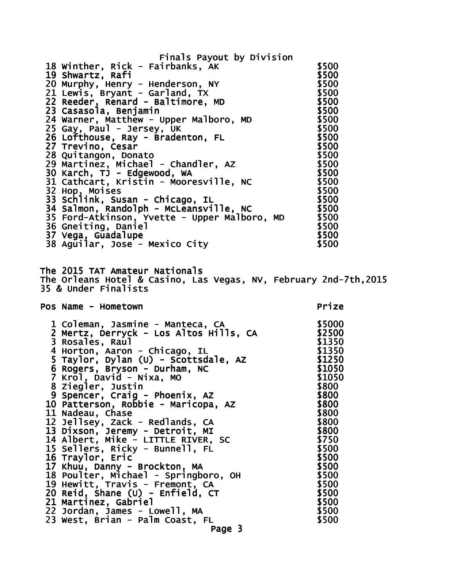| Finals Payout by Division                                                                                                                                                                                                                                                      |       |
|--------------------------------------------------------------------------------------------------------------------------------------------------------------------------------------------------------------------------------------------------------------------------------|-------|
| 18 Winther, Rick - Fairbanks, AK<br>18 winther, Rick - Fairbanks, AK<br>18 Winther, Rick - Fairbanks, AK<br>20 Murphy, Henry - Henderson, NY<br>21 Lewis, Bryant - Garland, TX<br>22 Reeder, Renard - Balltimore, MD<br>23 Casasola, Benjamin<br>24 Warner, Matthew - Upper Ma | \$500 |
|                                                                                                                                                                                                                                                                                |       |
|                                                                                                                                                                                                                                                                                |       |
|                                                                                                                                                                                                                                                                                |       |
|                                                                                                                                                                                                                                                                                |       |
|                                                                                                                                                                                                                                                                                |       |
|                                                                                                                                                                                                                                                                                |       |
|                                                                                                                                                                                                                                                                                |       |
|                                                                                                                                                                                                                                                                                |       |
|                                                                                                                                                                                                                                                                                |       |
|                                                                                                                                                                                                                                                                                |       |
|                                                                                                                                                                                                                                                                                |       |
|                                                                                                                                                                                                                                                                                |       |
|                                                                                                                                                                                                                                                                                |       |
|                                                                                                                                                                                                                                                                                |       |
|                                                                                                                                                                                                                                                                                |       |
|                                                                                                                                                                                                                                                                                |       |
| 36 Gneiting, Daniel                                                                                                                                                                                                                                                            | \$500 |
| 37 Vega, Guadalupe                                                                                                                                                                                                                                                             |       |
| $$500$<br>$$500$<br>38 Aguilar, Jose - Mexico City                                                                                                                                                                                                                             | \$500 |
|                                                                                                                                                                                                                                                                                |       |
| The 2015 TAT Amateur Nationals                                                                                                                                                                                                                                                 |       |
| The Orleans Hotel & Casino, Las Vegas, NV, February 2nd-7th, 2015                                                                                                                                                                                                              |       |
|                                                                                                                                                                                                                                                                                |       |
| 35 & Under Finalists                                                                                                                                                                                                                                                           |       |
|                                                                                                                                                                                                                                                                                |       |
| Pos Name - Hometown                                                                                                                                                                                                                                                            | Prize |
|                                                                                                                                                                                                                                                                                |       |
|                                                                                                                                                                                                                                                                                |       |
|                                                                                                                                                                                                                                                                                |       |
| L Coreman, Jasmine - Manteca, CA<br>2 Mertz, Derryck - Los Altos Hills, CA<br>3 Rosales, Raul<br>4 Herter                                                                                                                                                                      |       |
|                                                                                                                                                                                                                                                                                |       |
|                                                                                                                                                                                                                                                                                |       |
|                                                                                                                                                                                                                                                                                |       |
| 3 Rosales, Raul<br>4 Horton, Aaron - Chicago, IL<br>5 Taylor, Dylan (U) - Scottsdale, AZ<br>6 Rogers, Bryson - Durham, NC<br>7 Krol, David - Nixa, MO<br>7 Krol, David - Nixa, MO<br>1050<br>1050<br>7 Krol, David - Nixa, MO<br>8 Ziegler, Justin                             | \$800 |
| 9 Spencer, Craig - Phoenix, AZ                                                                                                                                                                                                                                                 | \$800 |
| 10 Patterson, Robbie - Maricopa, AZ                                                                                                                                                                                                                                            | \$800 |
| 11 Nadeau, Chase                                                                                                                                                                                                                                                               | \$800 |
| 12 Jellsey, Zack - Redlands, CA                                                                                                                                                                                                                                                | \$800 |
| 13 Dixson, Jeremy - Detroit, MI                                                                                                                                                                                                                                                | \$800 |
| 14 Albert, Mike - LITTLE RIVER, SC                                                                                                                                                                                                                                             | \$750 |
| 15 Sellers, Ricky - Bunnell, FL                                                                                                                                                                                                                                                | \$500 |
| 16 Traylor, Eric                                                                                                                                                                                                                                                               | \$500 |
| 17 Khuu, Danny - Brockton, MA                                                                                                                                                                                                                                                  | \$500 |
| 18 Poulter, Michael - Springboro, OH                                                                                                                                                                                                                                           | \$500 |
| 19 Hewitt, Travis - Fremont, CA                                                                                                                                                                                                                                                | \$500 |
| 20 Reid, Shane (U) - Enfield, CT                                                                                                                                                                                                                                               | \$500 |
| 21 Martinez, Gabriel                                                                                                                                                                                                                                                           | \$500 |
| 22 Jordan, James - Lowell, MA                                                                                                                                                                                                                                                  | \$500 |
| 23 West, Brian - Palm Coast, FL<br>Page 3                                                                                                                                                                                                                                      | \$500 |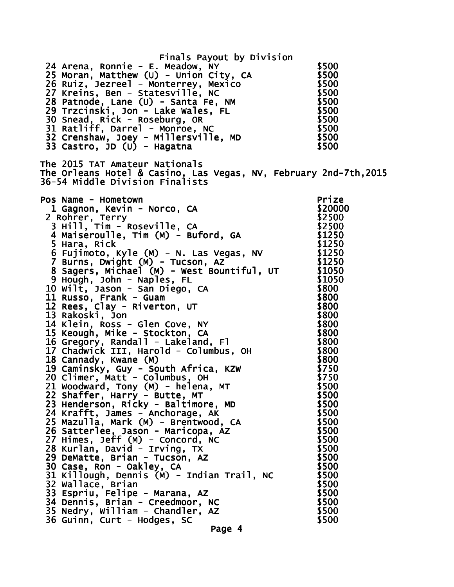| Finals Payout by Division<br>24 Arena, Ronnie - E. Meadow, NY<br>24 Arena, Ronnie – E. Meadow, NY<br>25 Moran, Matthew (U) – Union City, CA<br>26 Ruiz, Jezreel – Monterrey, Mexico<br>27 Kreins, Ben – Statesville, NC<br>28 Patnode, Lane (U) – Santa Fe, NM<br>29 Trzcinski, Jon – Lake Wales, FL<br>30                                                                                                                                                                                                                                                                                                                                                                                                                                                                                                                                                                                                                                                                                                                                                                                                                                                                                                                                                                                                                                                                 | \$500                                                                                                                                                             |
|----------------------------------------------------------------------------------------------------------------------------------------------------------------------------------------------------------------------------------------------------------------------------------------------------------------------------------------------------------------------------------------------------------------------------------------------------------------------------------------------------------------------------------------------------------------------------------------------------------------------------------------------------------------------------------------------------------------------------------------------------------------------------------------------------------------------------------------------------------------------------------------------------------------------------------------------------------------------------------------------------------------------------------------------------------------------------------------------------------------------------------------------------------------------------------------------------------------------------------------------------------------------------------------------------------------------------------------------------------------------------|-------------------------------------------------------------------------------------------------------------------------------------------------------------------|
| The 2015 TAT Amateur Nationals<br>The Orleans Hotel & Casino, Las Vegas, NV, February 2nd-7th, 2015<br>36-54 Middle Division Finalists                                                                                                                                                                                                                                                                                                                                                                                                                                                                                                                                                                                                                                                                                                                                                                                                                                                                                                                                                                                                                                                                                                                                                                                                                                     |                                                                                                                                                                   |
| Pos Name - Hometown<br>9 Mame - Hometown<br>1 Gagnon, Kevin - Norco, CA (Rohrer, Terry 1920000)<br>2 Rohrer, Terry (Rohrer, Terry 192500)<br>3 Hill, Tim - Roseville, CA (Rohrer, 192500)<br>4 Maiseroulle, Tim (M) - Buford, GA (Rohrer, 19250)<br>5 Hara, Ric<br>2 Rohrer, Terry<br>5 Hara, Rick<br>6 Fujimoto, Kyle (M) - N. Las Vegas, NV \$1250<br>7 Burns, Dwight (M) - Tucson, AZ \$1250<br>8 Sagers, Michael (M) - West Bountiful, UT \$1050<br>8 Sagers, Michael (M) - West Bountiful, UT \$1050<br>9 Hough, John - Naples, FL<br>9 Hough, John - Naples, FL<br>10 Wilt, Jason - San Diego, CA<br>11 Russo, Frank - Guam<br>12 Rees, Clay - Riverton, UT<br>13 Rakoski, John S800<br>14 Klein, Ross - Glen Cove, NY<br>15 Keough, Mike - Stockton, CA<br>15 Keough, Mike - Sto<br>20 Climer, Matt - Columbus, OH<br>21 Woodward, Tony (M) - helena, MT<br>22 Shaffer, Harry - Butte, MT<br>23 Henderson, Ricky - Baltimore, MD<br>24 Krafft, James - Anchorage, AK<br>25 Mazulla, Mark (M) - Brentwood, CA<br>26 Satterlee, Jason - Maricopa, AZ<br>27 Himes, Jeff (M) - Concord, NC<br>28 Kurlan, David - Irving, TX<br>29 DeMatte, Brian - Tucson, AZ<br>30 Case, Ron - Oakley, CA<br>31 Killough, Dennis (M) - Indian Trail, NC<br>32 Wallace, Brian<br>33 Espriu, Felipe - Marana, AZ<br>34 Dennis, Brian - Creedmoor, NC<br>35 Nedry, William - Chandler, AZ | \$20000<br>\$1250<br>\$750<br>\$500<br>\$500<br>\$500<br>\$500<br>\$500<br>\$500<br>\$500<br>\$500<br>\$500<br>\$500<br>\$500<br>\$500<br>\$500<br>\$500<br>\$500 |
| 36 Guinn, Curt - Hodges, SC<br>Page 4                                                                                                                                                                                                                                                                                                                                                                                                                                                                                                                                                                                                                                                                                                                                                                                                                                                                                                                                                                                                                                                                                                                                                                                                                                                                                                                                      | \$500                                                                                                                                                             |